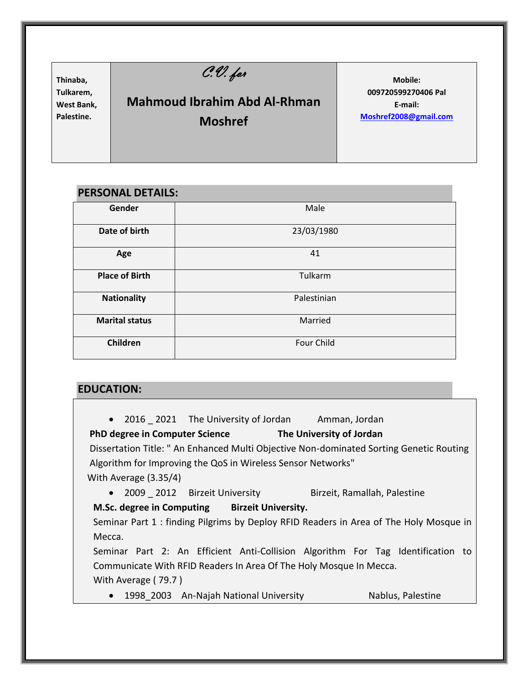| Thinaba,<br>Tulkarem,<br>West Bank,<br>Palestine. | C.V. for<br><b>Mahmoud Ibrahim Abd Al-Rhman</b><br><b>Moshref</b> | Mobile:<br>009720599270406 Pal<br>E-mail:<br>Moshref2008@gmail.com |
|---------------------------------------------------|-------------------------------------------------------------------|--------------------------------------------------------------------|
|---------------------------------------------------|-------------------------------------------------------------------|--------------------------------------------------------------------|

## **PERSONAL DETAILS:**

| Gender                | Male        |
|-----------------------|-------------|
| Date of birth         | 23/03/1980  |
| Age                   | 41          |
| <b>Place of Birth</b> | Tulkarm     |
| <b>Nationality</b>    | Palestinian |
| <b>Marital status</b> | Married     |
| Children              | Four Child  |

# **EDUCATION:**

| • 2016 2021 The University of Jordan Amman, Jordan                                      |  |  |
|-----------------------------------------------------------------------------------------|--|--|
| PhD degree in Computer Science The University of Jordan                                 |  |  |
| Dissertation Title: " An Enhanced Multi Objective Non-dominated Sorting Genetic Routing |  |  |
| Algorithm for Improving the QoS in Wireless Sensor Networks"                            |  |  |
| With Average (3.35/4)                                                                   |  |  |
| • 2009 2012 Birzeit University<br>Birzeit, Ramallah, Palestine                          |  |  |
| M.Sc. degree in Computing Birzeit University.                                           |  |  |
| Seminar Part 1 : finding Pilgrims by Deploy RFID Readers in Area of The Holy Mosque in  |  |  |
| Mecca.                                                                                  |  |  |
| Seminar Part 2: An Efficient Anti-Collision Algorithm For Tag Identification to         |  |  |
| Communicate With RFID Readers In Area Of The Holy Mosque In Mecca.                      |  |  |
| With Average (79.7)                                                                     |  |  |
| 1998 2003 An-Najah National University<br>Nablus, Palestine                             |  |  |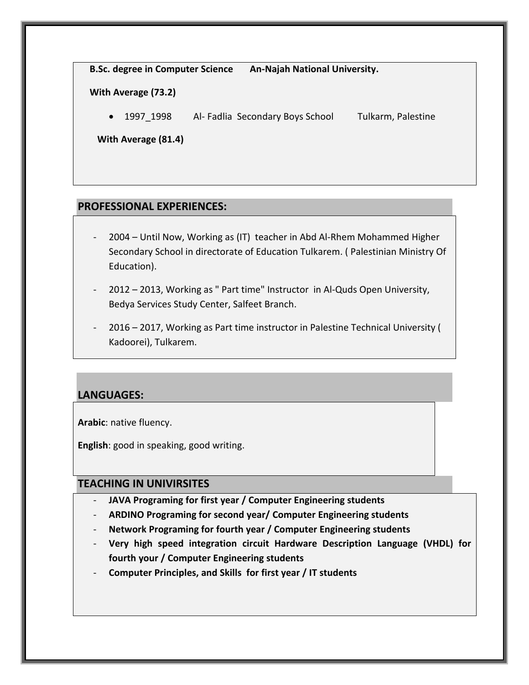**B.Sc. degree in Computer Science An-Najah National University.**

 **With Average (73.2)**

1997\_1998 Al- Fadlia Secondary Boys School Tulkarm, Palestine

**With Average (81.4)**

### **PROFESSIONAL EXPERIENCES:**

- 2004 Until Now, Working as (IT) teacher in Abd Al-Rhem Mohammed Higher Secondary School in directorate of Education Tulkarem. ( Palestinian Ministry Of Education).
- 2012 2013, Working as " Part time" Instructor in Al-Quds Open University, Bedya Services Study Center, Salfeet Branch.
- 2016 2017, Working as Part time instructor in Palestine Technical University ( Kadoorei), Tulkarem.

## **LANGUAGES:**

**Arabic**: native fluency.

**English**: good in speaking, good writing.

#### **TEACHING IN UNIVIRSITES**

- **JAVA Programing for first year / Computer Engineering students**
- **ARDINO Programing for second year/ Computer Engineering students**
- **Network Programing for fourth year / Computer Engineering students**
- **Very high speed integration circuit Hardware Description Language (VHDL) for fourth your / Computer Engineering students**
- **Computer Principles, and Skills for first year / IT students**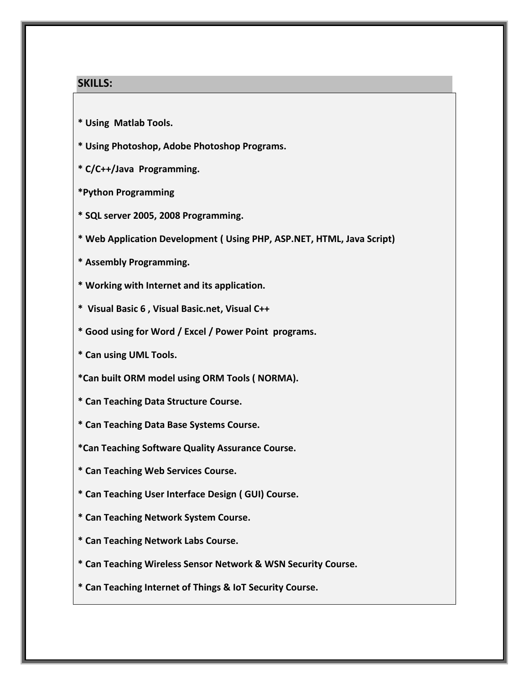### **SKILLS:**

- **\* Using Matlab Tools.**
- **\* Using Photoshop, Adobe Photoshop Programs.**
- **\* C/C++/Java Programming.**
- **\*Python Programming**
- **\* SQL server 2005, 2008 Programming.**
- **\* Web Application Development ( Using PHP, ASP.NET, HTML, Java Script)**
- **\* Assembly Programming.**
- **\* Working with Internet and its application.**
- **\* Visual Basic 6 , Visual Basic.net, Visual C++**
- **\* Good using for Word / Excel / Power Point programs.**
- **\* Can using UML Tools.**
- **\*Can built ORM model using ORM Tools ( NORMA).**
- **\* Can Teaching Data Structure Course.**
- **\* Can Teaching Data Base Systems Course.**
- **\*Can Teaching Software Quality Assurance Course.**
- **\* Can Teaching Web Services Course.**
- **\* Can Teaching User Interface Design ( GUI) Course.**
- **\* Can Teaching Network System Course.**
- **\* Can Teaching Network Labs Course.**
- **\* Can Teaching Wireless Sensor Network & WSN Security Course.**
- **\* Can Teaching Internet of Things & IoT Security Course.**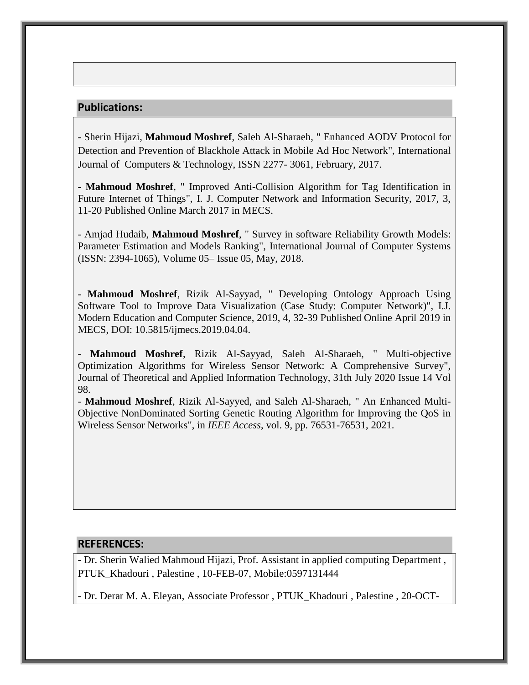## **Publications:**

- Sherin Hijazi, **Mahmoud Moshref**, Saleh Al-Sharaeh, " Enhanced AODV Protocol for Detection and Prevention of Blackhole Attack in Mobile Ad Hoc Network", International Journal of Computers & Technology, ISSN 2277- 3061, February, 2017.

- **Mahmoud Moshref**, " Improved Anti-Collision Algorithm for Tag Identification in Future Internet of Things", I. J. Computer Network and Information Security, 2017, 3, 11-20 Published Online March 2017 in MECS.

- Amjad Hudaib, **Mahmoud Moshref**, " Survey in software Reliability Growth Models: Parameter Estimation and Models Ranking", International Journal of Computer Systems (ISSN: 2394-1065), Volume 05– Issue 05, May, 2018.

- **Mahmoud Moshref**, Rizik Al-Sayyad, " Developing Ontology Approach Using Software Tool to Improve Data Visualization (Case Study: Computer Network)", I.J. Modern Education and Computer Science, 2019, 4, 32-39 Published Online April 2019 in MECS, DOI: 10.5815/ijmecs.2019.04.04.

- **Mahmoud Moshref**, Rizik Al-Sayyad, Saleh Al-Sharaeh, " Multi-objective Optimization Algorithms for Wireless Sensor Network: A Comprehensive Survey", Journal of Theoretical and Applied Information Technology, 31th July 2020 Issue 14 Vol 98.

- **Mahmoud Moshref**, Rizik Al-Sayyed, and Saleh Al-Sharaeh, " An Enhanced Multi-Objective NonDominated Sorting Genetic Routing Algorithm for Improving the QoS in Wireless Sensor Networks", in *IEEE Access*, vol. 9, pp. 76531-76531, 2021.

#### **REFERENCES:**

- Dr. Sherin Walied Mahmoud Hijazi, Prof. Assistant in applied computing Department , PTUK\_Khadouri , Palestine , 10-FEB-07, Mobile:0597131444

- Dr. Derar M. A. Eleyan, Associate Professor , PTUK\_Khadouri , Palestine , 20-OCT-